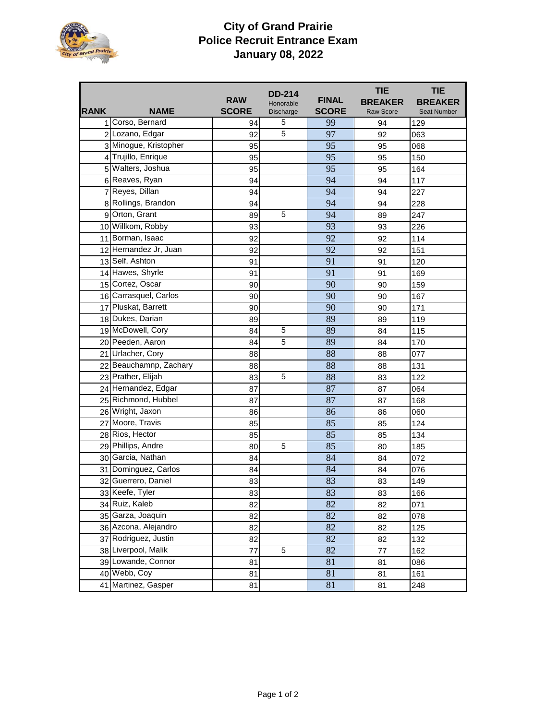

## **City of Grand Prairie Police Recruit Entrance Exam January 08, 2022**

|             |                        |              | <b>DD-214</b>    |              | <b>TIE</b>       | <b>TIE</b>         |
|-------------|------------------------|--------------|------------------|--------------|------------------|--------------------|
|             |                        | <b>RAW</b>   | Honorable        | <b>FINAL</b> | <b>BREAKER</b>   | <b>BREAKER</b>     |
| <b>RANK</b> | <b>NAME</b>            | <b>SCORE</b> | <b>Discharge</b> | <b>SCORE</b> | <b>Raw Score</b> | <b>Seat Number</b> |
|             | 1 Corso, Bernard       | 94           | 5                | 99           | 94               | 129                |
|             | 2 Lozano, Edgar        | 92           | 5                | 97           | 92               | 063                |
|             | 3 Minogue, Kristopher  | 95           |                  | 95           | 95               | 068                |
|             | 4 Trujillo, Enrique    | 95           |                  | 95           | 95               | 150                |
|             | 5 Walters, Joshua      | 95           |                  | 95           | 95               | 164                |
|             | 6 Reaves, Ryan         | 94           |                  | 94           | 94               | 117                |
|             | 7 Reyes, Dillan        | 94           |                  | 94           | 94               | 227                |
|             | 8 Rollings, Brandon    | 94           |                  | 94           | 94               | 228                |
|             | 9 Orton, Grant         | 89           | 5                | 94           | 89               | 247                |
|             | 10 Willkom, Robby      | 93           |                  | 93           | 93               | 226                |
|             | 11 Borman, Isaac       | 92           |                  | 92           | 92               | 114                |
|             | 12 Hernandez Jr, Juan  | 92           |                  | 92           | 92               | 151                |
|             | 13 Self, Ashton        | 91           |                  | 91           | 91               | 120                |
|             | 14 Hawes, Shyrle       | 91           |                  | 91           | 91               | 169                |
|             | 15 Cortez, Oscar       | 90           |                  | 90           | 90               | 159                |
|             | 16 Carrasquel, Carlos  | 90           |                  | 90           | 90               | 167                |
|             | 17 Pluskat, Barrett    | 90           |                  | 90           | 90               | 171                |
|             | 18 Dukes, Darian       | 89           |                  | 89           | 89               | 119                |
|             | 19 McDowell, Cory      | 84           | 5                | 89           | 84               | 115                |
|             | 20 Peeden, Aaron       | 84           | 5                | 89           | 84               | 170                |
|             | 21 Urlacher, Cory      | 88           |                  | 88           | 88               | 077                |
|             | 22 Beauchamnp, Zachary | 88           |                  | 88           | 88               | 131                |
|             | 23 Prather, Elijah     | 83           | 5                | 88           | 83               | 122                |
|             | 24 Hernandez, Edgar    | 87           |                  | 87           | 87               | 064                |
|             | 25 Richmond, Hubbel    | 87           |                  | 87           | 87               | 168                |
|             | 26 Wright, Jaxon       | 86           |                  | 86           | 86               | 060                |
|             | 27 Moore, Travis       | 85           |                  | 85           | 85               | 124                |
|             | 28 Rios, Hector        | 85           |                  | 85           | 85               | 134                |
|             | 29 Phillips, Andre     | 80           | 5                | 85           | 80               | 185                |
|             | 30 Garcia, Nathan      | 84           |                  | 84           | 84               | 072                |
|             | 31 Dominguez, Carlos   | 84           |                  | 84           | 84               | 076                |
|             | 32 Guerrero, Daniel    | 83           |                  | 83           | 83               | 149                |
|             | 33 Keefe, Tyler        | 83           |                  | 83           | 83               | 166                |
|             | 34 Ruiz, Kaleb         | 82           |                  | 82           | 82               | 071                |
|             | 35 Garza, Joaquin      | 82           |                  | 82           | 82               | 078                |
|             | 36 Azcona, Alejandro   | 82           |                  | 82           | 82               | 125                |
|             | 37 Rodriguez, Justin   | 82           |                  | 82           | 82               | 132                |
|             | 38 Liverpool, Malik    | 77           | 5                | 82           | 77               | 162                |
|             | 39 Lowande, Connor     | 81           |                  | 81           | 81               | 086                |
|             | 40 Webb, Coy           | 81           |                  | 81           | 81               | 161                |
|             | 41 Martinez, Gasper    | 81           |                  | 81           | 81               | 248                |
|             |                        |              |                  |              |                  |                    |